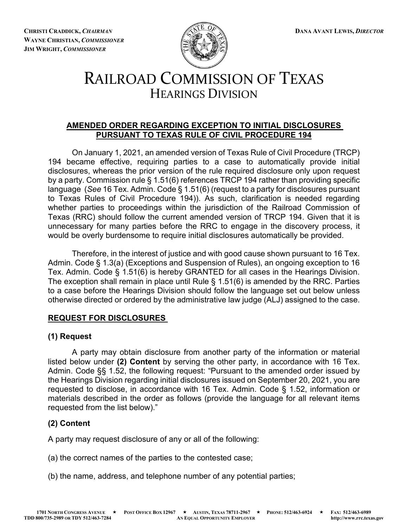**CHRISTI CRADDICK,** *CHAIRMAN* **DANA AVANT LEWIS,** *DIRECTOR* **WAYNE CHRISTIAN,** *COMMISSIONER* **JIM WRIGHT,** *COMMISSIONER*



# RAILROAD COMMISSION OF TEXAS HEARINGS DIVISION

### **AMENDED ORDER REGARDING EXCEPTION TO INITIAL DISCLOSURES PURSUANT TO TEXAS RULE OF CIVIL PROCEDURE 194**

On January 1, 2021, an amended version of Texas Rule of Civil Procedure (TRCP) 194 became effective, requiring parties to a case to automatically provide initial disclosures, whereas the prior version of the rule required disclosure only upon request by a party. Commission rule § 1.51(6) references TRCP 194 rather than providing specific language (*See* 16 Tex. Admin. Code § 1.51(6) (request to a party for disclosures pursuant to Texas Rules of Civil Procedure 194)). As such, clarification is needed regarding whether parties to proceedings within the jurisdiction of the Railroad Commission of Texas (RRC) should follow the current amended version of TRCP 194. Given that it is unnecessary for many parties before the RRC to engage in the discovery process, it would be overly burdensome to require initial disclosures automatically be provided.

Therefore, in the interest of justice and with good cause shown pursuant to 16 Tex. Admin. Code § 1.3(a) (Exceptions and Suspension of Rules), an ongoing exception to 16 Tex. Admin. Code § 1.51(6) is hereby GRANTED for all cases in the Hearings Division. The exception shall remain in place until Rule § 1.51(6) is amended by the RRC. Parties to a case before the Hearings Division should follow the language set out below unless otherwise directed or ordered by the administrative law judge (ALJ) assigned to the case.

### **REQUEST FOR DISCLOSURES**

### **(1) Request**

A party may obtain disclosure from another party of the information or material listed below under **(2) Content** by serving the other party, in accordance with 16 Tex. Admin. Code §§ 1.52, the following request: "Pursuant to the amended order issued by the Hearings Division regarding initial disclosures issued on September 20, 2021, you are requested to disclose, in accordance with 16 Tex. Admin. Code § 1.52, information or materials described in the order as follows (provide the language for all relevant items requested from the list below)."

## **(2) Content**

A party may request disclosure of any or all of the following:

- (a) the correct names of the parties to the contested case;
- (b) the name, address, and telephone number of any potential parties;